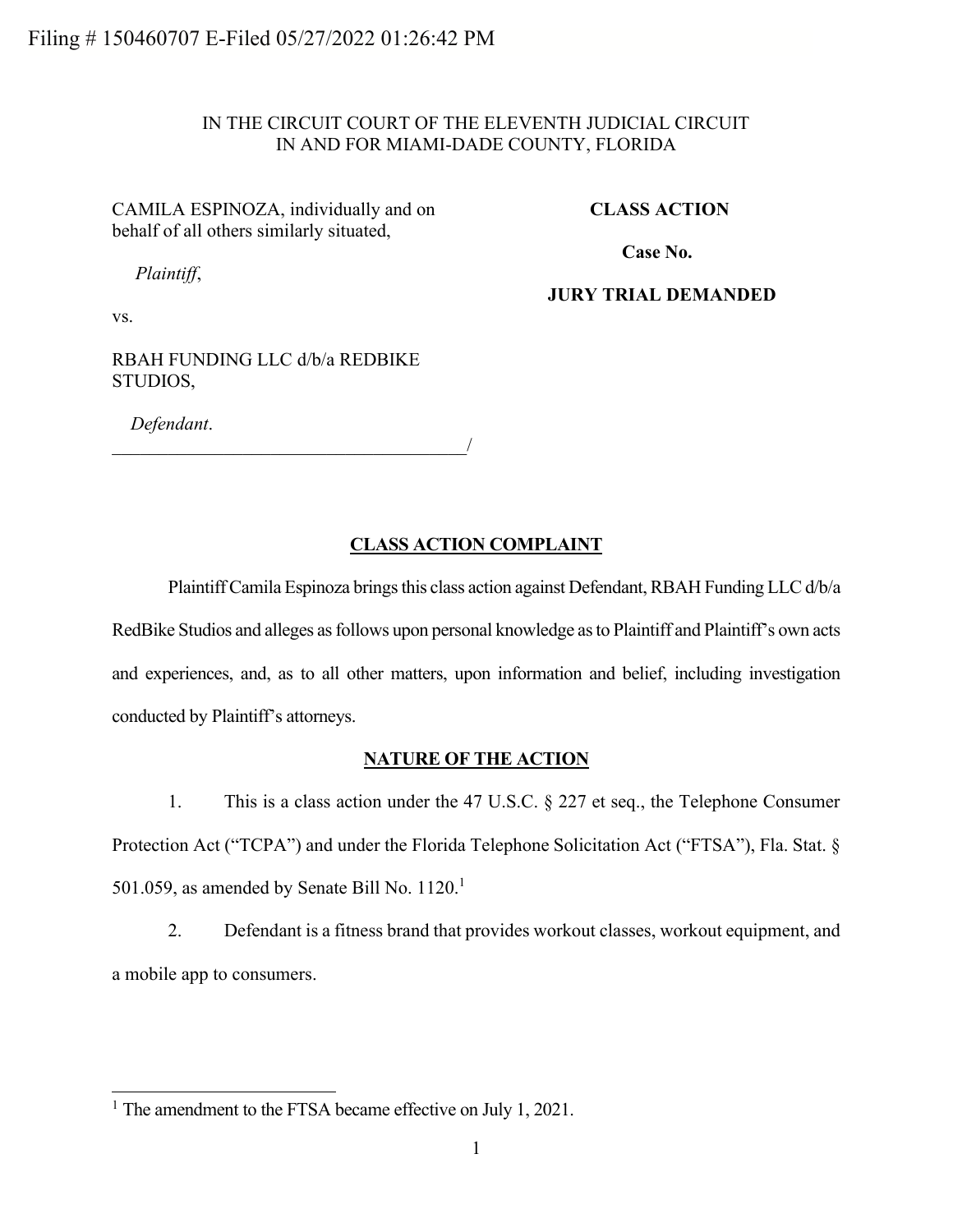# IN THE CIRCUIT COURT OF THE ELEVENTH JUDICIAL CIRCUIT IN AND FOR MIAMI-DADE COUNTY, FLORIDA

# CAMILA ESPINOZA, individually and on behalf of all others similarly situated,

### **CLASS ACTION**

**Case No.** 

*Plaintiff*,

**JURY TRIAL DEMANDED**

vs.

RBAH FUNDING LLC d/b/a REDBIKE STUDIOS,

*Defendant*.

 $\overline{\phantom{a}}$ 

# **CLASS ACTION COMPLAINT**

PlaintiffCamila Espinoza brings this class action against Defendant, RBAH Funding LLC d/b/a RedBike Studios and alleges as follows upon personal knowledge as to Plaintiff and Plaintiff's own acts and experiences, and, as to all other matters, upon information and belief, including investigation conducted by Plaintiff's attorneys.

### **NATURE OF THE ACTION**

1. This is a class action under the 47 U.S.C. § 227 et seq., the Telephone Consumer Protection Act ("TCPA") and under the Florida Telephone Solicitation Act ("FTSA"), Fla. Stat. § 501.059, as amended by Senate Bill No.  $1120.<sup>1</sup>$ 

2. Defendant is a fitness brand that provides workout classes, workout equipment, and a mobile app to consumers.

<sup>&</sup>lt;sup>1</sup> The amendment to the FTSA became effective on July 1, 2021.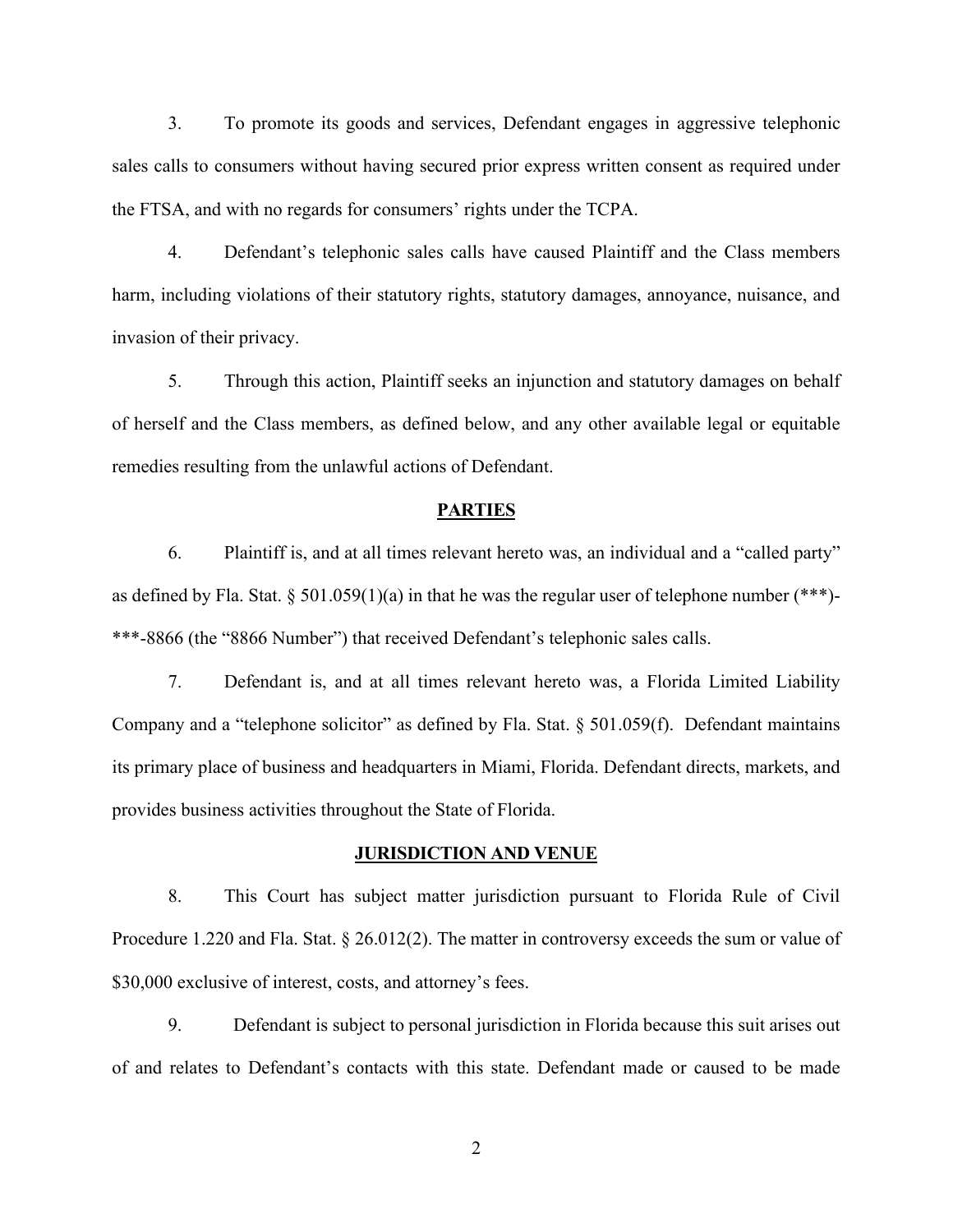3. To promote its goods and services, Defendant engages in aggressive telephonic sales calls to consumers without having secured prior express written consent as required under the FTSA, and with no regards for consumers' rights under the TCPA.

4. Defendant's telephonic sales calls have caused Plaintiff and the Class members harm, including violations of their statutory rights, statutory damages, annoyance, nuisance, and invasion of their privacy.

5. Through this action, Plaintiff seeks an injunction and statutory damages on behalf of herself and the Class members, as defined below, and any other available legal or equitable remedies resulting from the unlawful actions of Defendant.

#### **PARTIES**

6. Plaintiff is, and at all times relevant hereto was, an individual and a "called party" as defined by Fla. Stat. § 501.059(1)(a) in that he was the regular user of telephone number (\*\*\*)-\*\*\*-8866 (the "8866 Number") that received Defendant's telephonic sales calls.

7. Defendant is, and at all times relevant hereto was, a Florida Limited Liability Company and a "telephone solicitor" as defined by Fla. Stat. § 501.059(f). Defendant maintains its primary place of business and headquarters in Miami, Florida. Defendant directs, markets, and provides business activities throughout the State of Florida.

#### **JURISDICTION AND VENUE**

8. This Court has subject matter jurisdiction pursuant to Florida Rule of Civil Procedure 1.220 and Fla. Stat. § 26.012(2). The matter in controversy exceeds the sum or value of \$30,000 exclusive of interest, costs, and attorney's fees.

9. Defendant is subject to personal jurisdiction in Florida because this suit arises out of and relates to Defendant's contacts with this state. Defendant made or caused to be made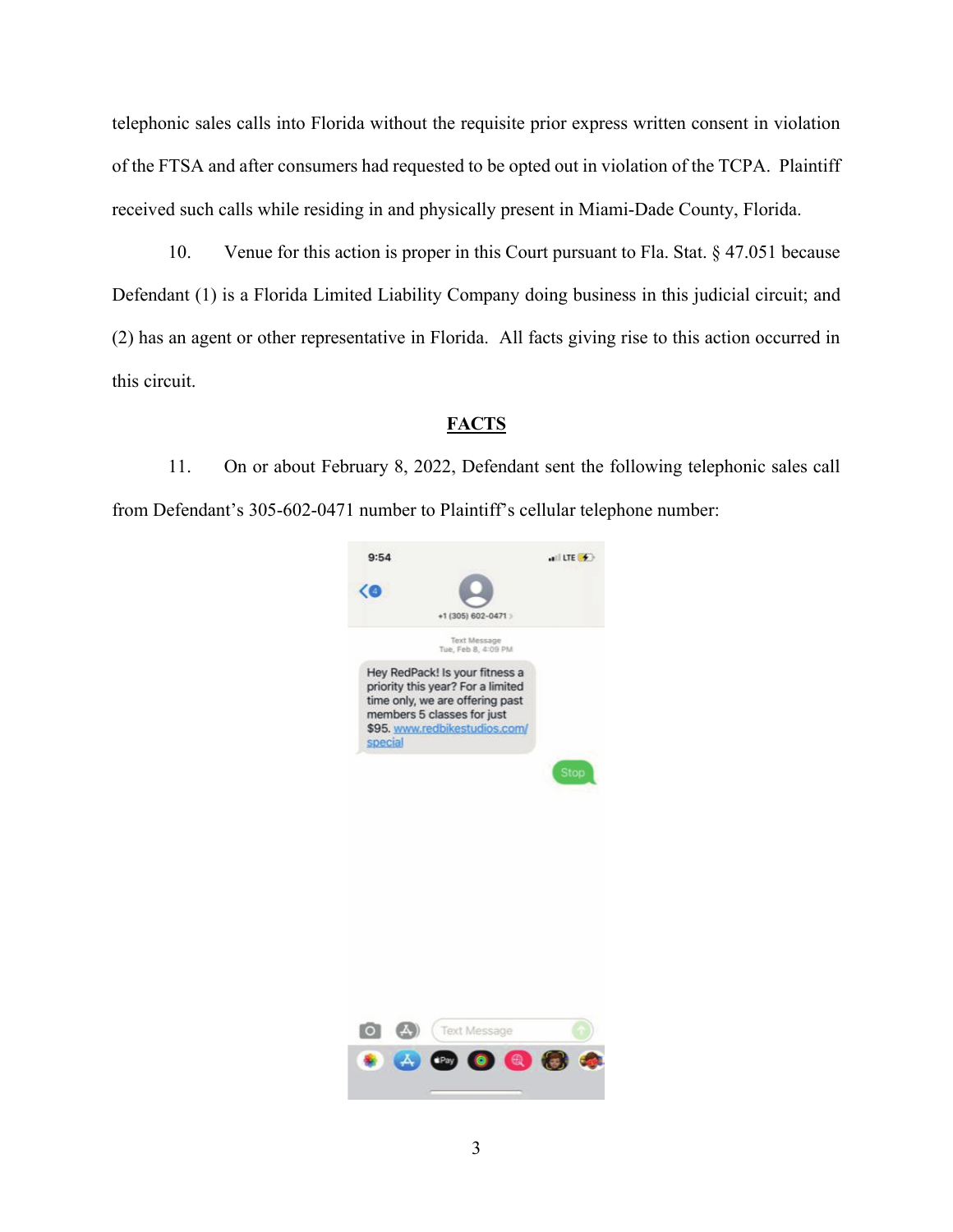telephonic sales calls into Florida without the requisite prior express written consent in violation of the FTSA and after consumers had requested to be opted out in violation of the TCPA. Plaintiff received such calls while residing in and physically present in Miami-Dade County, Florida.

10. Venue for this action is proper in this Court pursuant to Fla. Stat. § 47.051 because Defendant (1) is a Florida Limited Liability Company doing business in this judicial circuit; and (2) has an agent or other representative in Florida. All facts giving rise to this action occurred in this circuit.

### **FACTS**

11. On or about February 8, 2022, Defendant sent the following telephonic sales call from Defendant's 305-602-0471 number to Plaintiff's cellular telephone number:



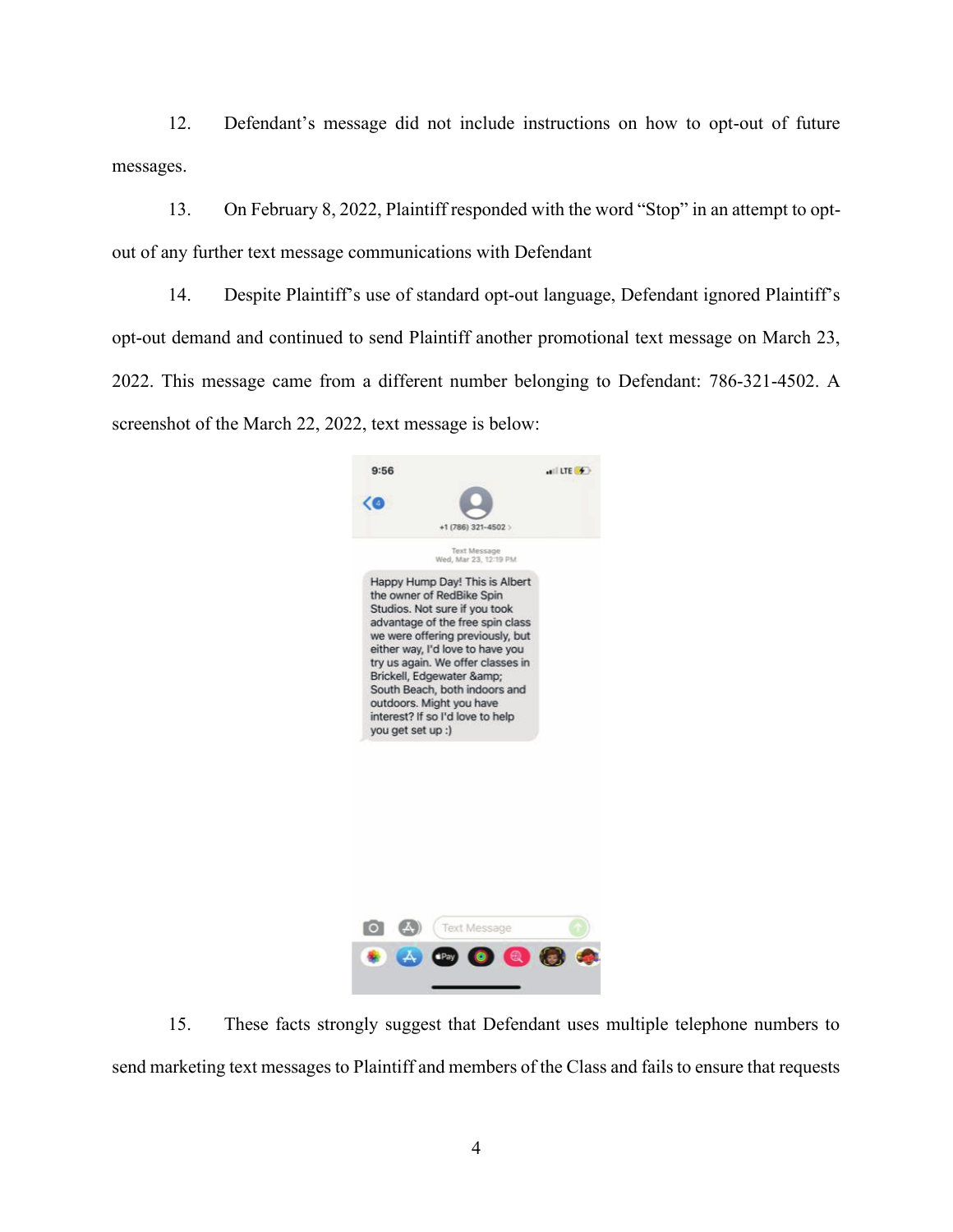12. Defendant's message did not include instructions on how to opt-out of future messages.

13. On February 8, 2022, Plaintiff responded with the word "Stop" in an attempt to optout of any further text message communications with Defendant

14. Despite Plaintiff's use of standard opt-out language, Defendant ignored Plaintiff's opt-out demand and continued to send Plaintiff another promotional text message on March 23, 2022. This message came from a different number belonging to Defendant: 786-321-4502. A screenshot of the March 22, 2022, text message is below:





15. These facts strongly suggest that Defendant uses multiple telephone numbers to send marketing text messages to Plaintiff and members of the Class and fails to ensure that requests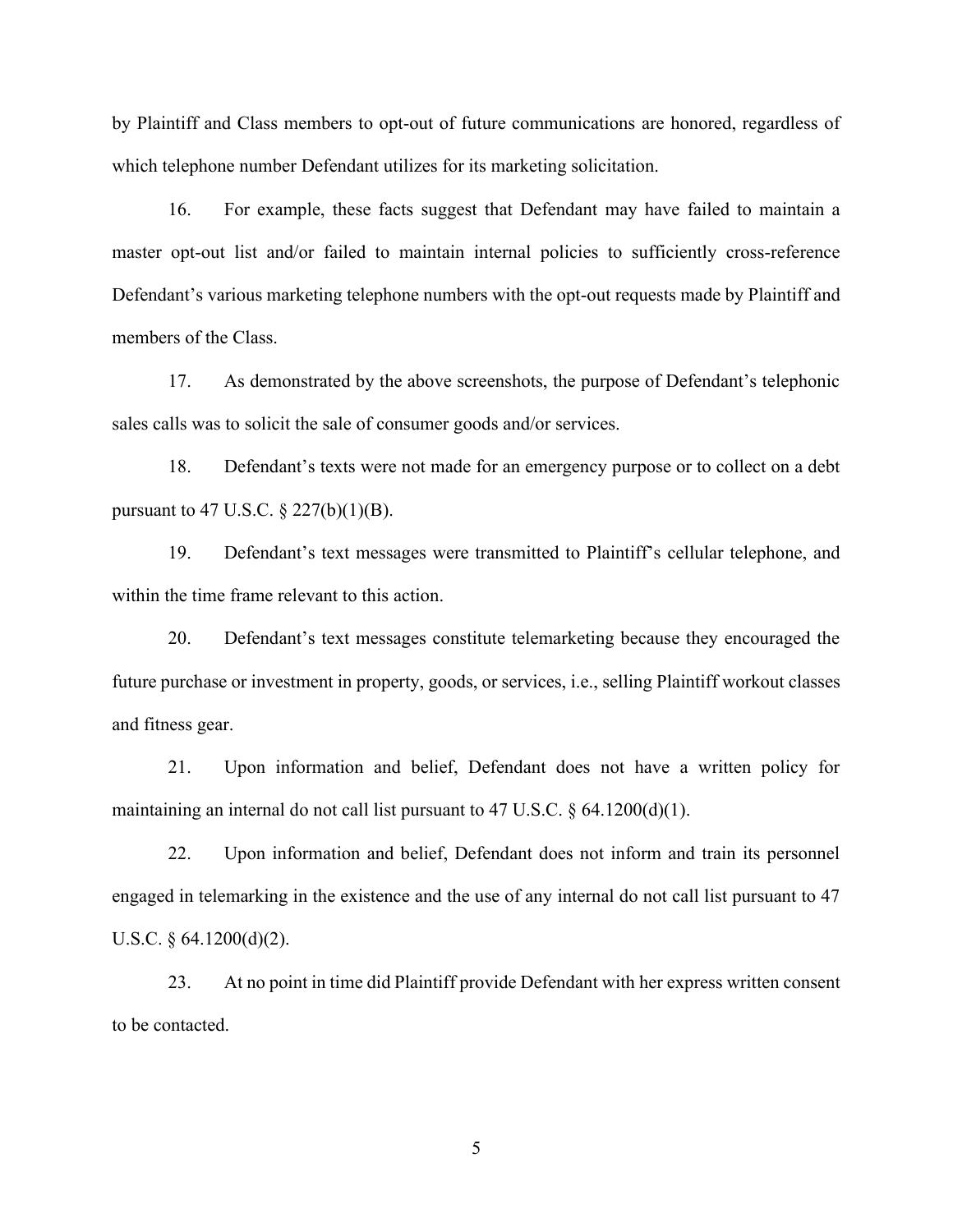by Plaintiff and Class members to opt-out of future communications are honored, regardless of which telephone number Defendant utilizes for its marketing solicitation.

16. For example, these facts suggest that Defendant may have failed to maintain a master opt-out list and/or failed to maintain internal policies to sufficiently cross-reference Defendant's various marketing telephone numbers with the opt-out requests made by Plaintiff and members of the Class.

17. As demonstrated by the above screenshots, the purpose of Defendant's telephonic sales calls was to solicit the sale of consumer goods and/or services.

18. Defendant's texts were not made for an emergency purpose or to collect on a debt pursuant to 47 U.S.C. § 227(b)(1)(B).

19. Defendant's text messages were transmitted to Plaintiff's cellular telephone, and within the time frame relevant to this action.

20. Defendant's text messages constitute telemarketing because they encouraged the future purchase or investment in property, goods, or services, i.e., selling Plaintiff workout classes and fitness gear.

21. Upon information and belief, Defendant does not have a written policy for maintaining an internal do not call list pursuant to 47 U.S.C. § 64.1200(d)(1).

22. Upon information and belief, Defendant does not inform and train its personnel engaged in telemarking in the existence and the use of any internal do not call list pursuant to 47 U.S.C.  $\S$  64.1200(d)(2).

23. At no point in time did Plaintiff provide Defendant with her express written consent to be contacted.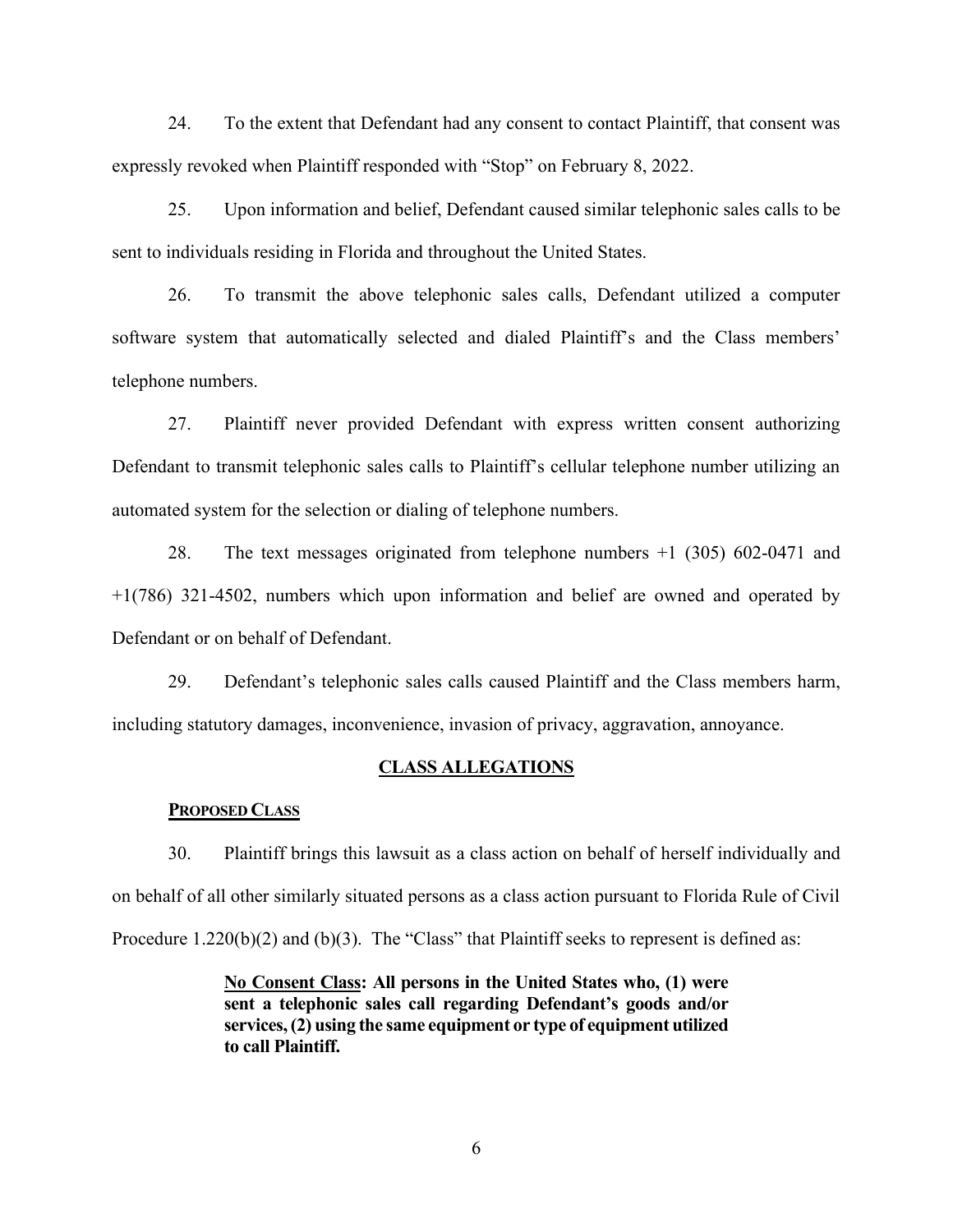24. To the extent that Defendant had any consent to contact Plaintiff, that consent was expressly revoked when Plaintiff responded with "Stop" on February 8, 2022.

25. Upon information and belief, Defendant caused similar telephonic sales calls to be sent to individuals residing in Florida and throughout the United States.

26. To transmit the above telephonic sales calls, Defendant utilized a computer software system that automatically selected and dialed Plaintiff's and the Class members' telephone numbers.

27. Plaintiff never provided Defendant with express written consent authorizing Defendant to transmit telephonic sales calls to Plaintiff's cellular telephone number utilizing an automated system for the selection or dialing of telephone numbers.

28. The text messages originated from telephone numbers +1 (305) 602-0471 and +1(786) 321-4502, numbers which upon information and belief are owned and operated by Defendant or on behalf of Defendant.

29. Defendant's telephonic sales calls caused Plaintiff and the Class members harm, including statutory damages, inconvenience, invasion of privacy, aggravation, annoyance.

#### **CLASS ALLEGATIONS**

### **PROPOSED CLASS**

30. Plaintiff brings this lawsuit as a class action on behalf of herself individually and on behalf of all other similarly situated persons as a class action pursuant to Florida Rule of Civil Procedure 1.220(b)(2) and (b)(3). The "Class" that Plaintiff seeks to represent is defined as:

> **No Consent Class: All persons in the United States who, (1) were sent a telephonic sales call regarding Defendant's goods and/or services, (2) using the same equipment or type of equipment utilized to call Plaintiff.**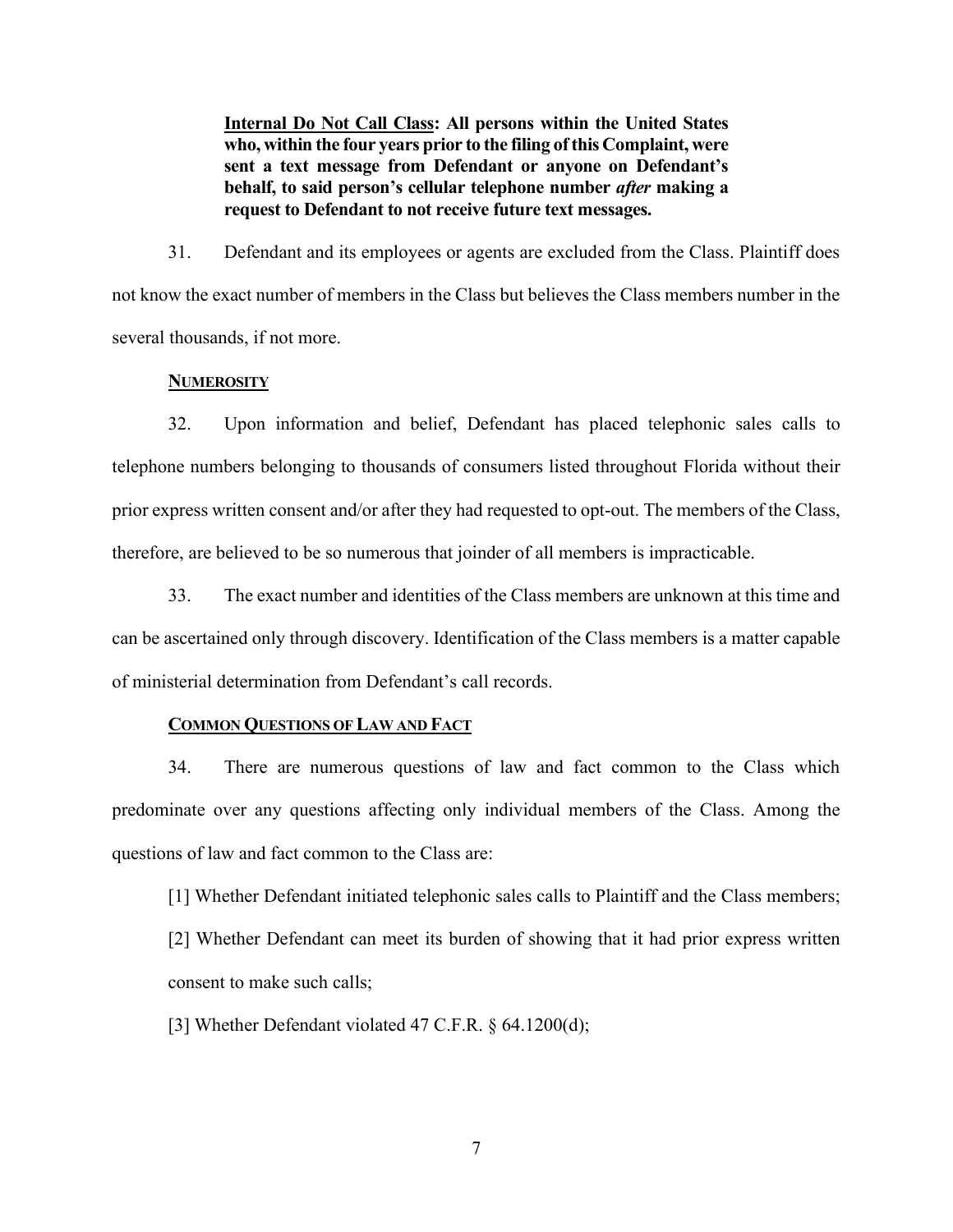**Internal Do Not Call Class: All persons within the United States who, within the four years prior to the filing of this Complaint, were sent a text message from Defendant or anyone on Defendant's behalf, to said person's cellular telephone number** *after* **making a request to Defendant to not receive future text messages.**

31. Defendant and its employees or agents are excluded from the Class. Plaintiff does not know the exact number of members in the Class but believes the Class members number in the several thousands, if not more.

#### **NUMEROSITY**

32. Upon information and belief, Defendant has placed telephonic sales calls to telephone numbers belonging to thousands of consumers listed throughout Florida without their prior express written consent and/or after they had requested to opt-out. The members of the Class, therefore, are believed to be so numerous that joinder of all members is impracticable.

33. The exact number and identities of the Class members are unknown at this time and can be ascertained only through discovery. Identification of the Class members is a matter capable of ministerial determination from Defendant's call records.

#### **COMMON QUESTIONS OF LAW AND FACT**

34. There are numerous questions of law and fact common to the Class which predominate over any questions affecting only individual members of the Class. Among the questions of law and fact common to the Class are:

[1] Whether Defendant initiated telephonic sales calls to Plaintiff and the Class members; [2] Whether Defendant can meet its burden of showing that it had prior express written consent to make such calls;

[3] Whether Defendant violated 47 C.F.R. § 64.1200(d);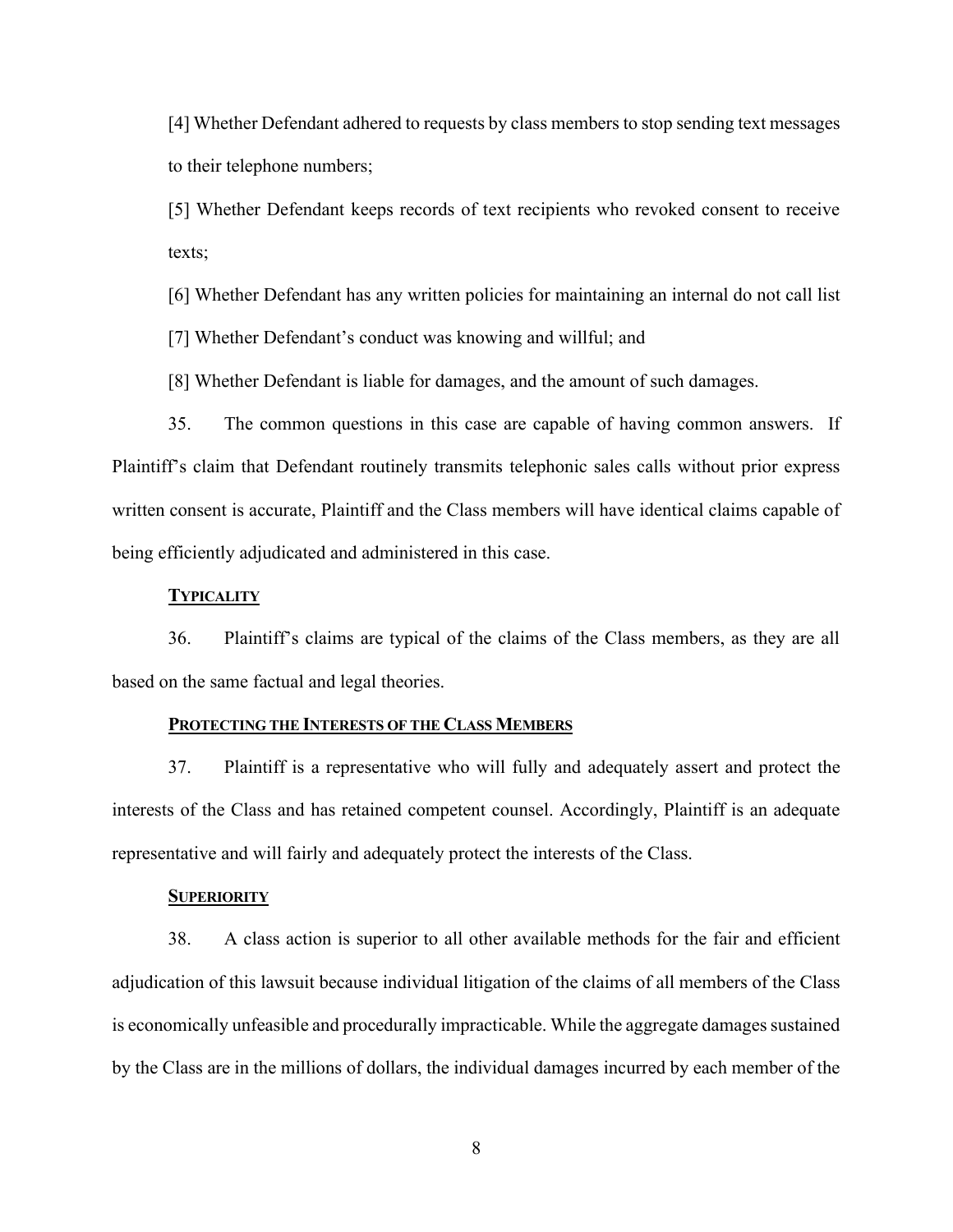[4] Whether Defendant adhered to requests by class members to stop sending text messages to their telephone numbers;

[5] Whether Defendant keeps records of text recipients who revoked consent to receive texts;

[6] Whether Defendant has any written policies for maintaining an internal do not call list

[7] Whether Defendant's conduct was knowing and willful; and

[8] Whether Defendant is liable for damages, and the amount of such damages.

35. The common questions in this case are capable of having common answers. If Plaintiff's claim that Defendant routinely transmits telephonic sales calls without prior express written consent is accurate, Plaintiff and the Class members will have identical claims capable of being efficiently adjudicated and administered in this case.

#### **TYPICALITY**

36. Plaintiff's claims are typical of the claims of the Class members, as they are all based on the same factual and legal theories.

#### **PROTECTING THE INTERESTS OF THE CLASS MEMBERS**

37. Plaintiff is a representative who will fully and adequately assert and protect the interests of the Class and has retained competent counsel. Accordingly, Plaintiff is an adequate representative and will fairly and adequately protect the interests of the Class.

#### **SUPERIORITY**

38. A class action is superior to all other available methods for the fair and efficient adjudication of this lawsuit because individual litigation of the claims of all members of the Class is economically unfeasible and procedurally impracticable. While the aggregate damages sustained by the Class are in the millions of dollars, the individual damages incurred by each member of the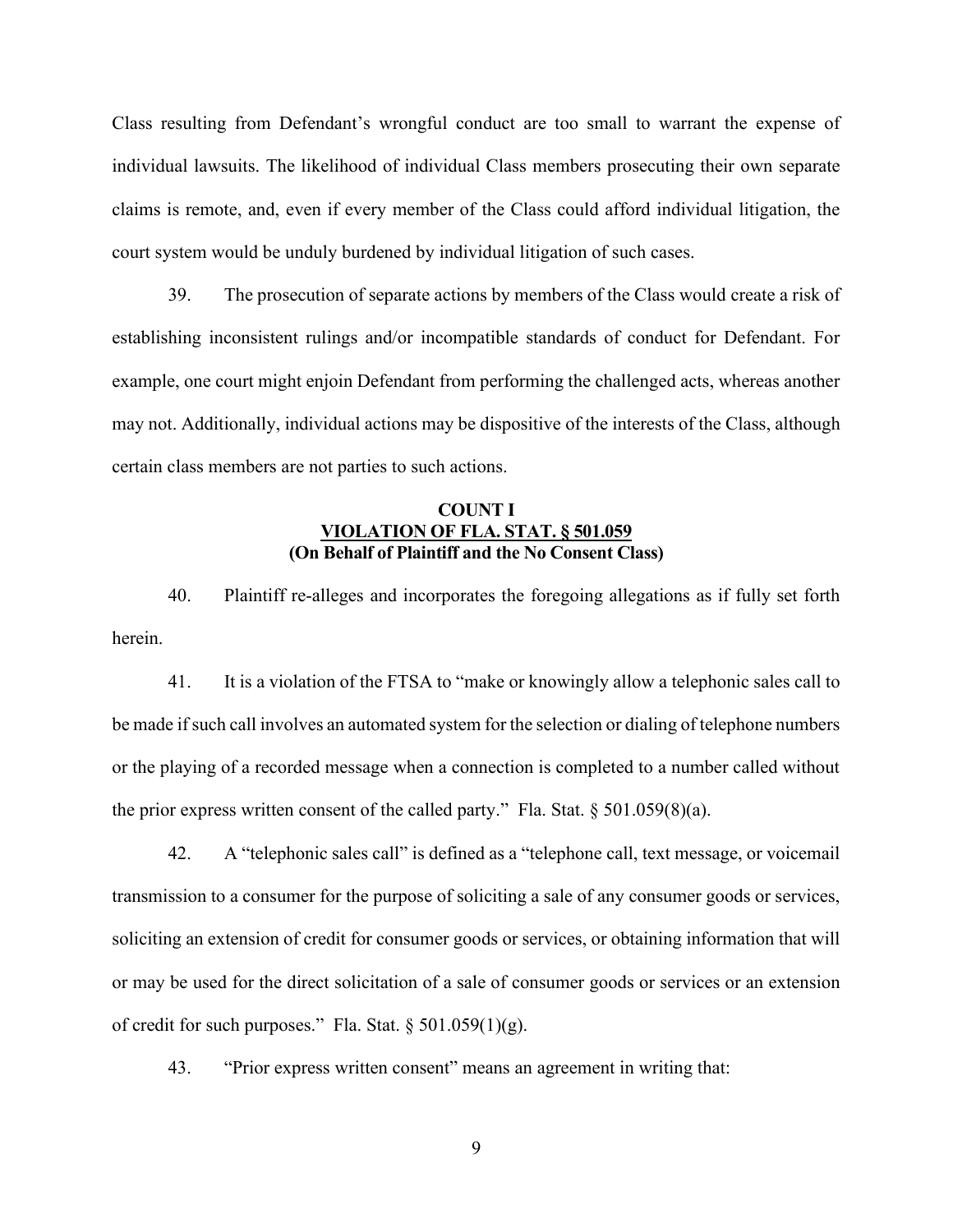Class resulting from Defendant's wrongful conduct are too small to warrant the expense of individual lawsuits. The likelihood of individual Class members prosecuting their own separate claims is remote, and, even if every member of the Class could afford individual litigation, the court system would be unduly burdened by individual litigation of such cases.

39. The prosecution of separate actions by members of the Class would create a risk of establishing inconsistent rulings and/or incompatible standards of conduct for Defendant. For example, one court might enjoin Defendant from performing the challenged acts, whereas another may not. Additionally, individual actions may be dispositive of the interests of the Class, although certain class members are not parties to such actions.

# **COUNT I VIOLATION OF FLA. STAT. § 501.059 (On Behalf of Plaintiff and the No Consent Class)**

40. Plaintiff re-alleges and incorporates the foregoing allegations as if fully set forth herein.

41. It is a violation of the FTSA to "make or knowingly allow a telephonic sales call to be made if such call involves an automated system for the selection or dialing of telephone numbers or the playing of a recorded message when a connection is completed to a number called without the prior express written consent of the called party." Fla. Stat.  $\S 501.059(8)(a)$ .

42. A "telephonic sales call" is defined as a "telephone call, text message, or voicemail transmission to a consumer for the purpose of soliciting a sale of any consumer goods or services, soliciting an extension of credit for consumer goods or services, or obtaining information that will or may be used for the direct solicitation of a sale of consumer goods or services or an extension of credit for such purposes." Fla. Stat.  $\S 501.059(1)(g)$ .

43. "Prior express written consent" means an agreement in writing that: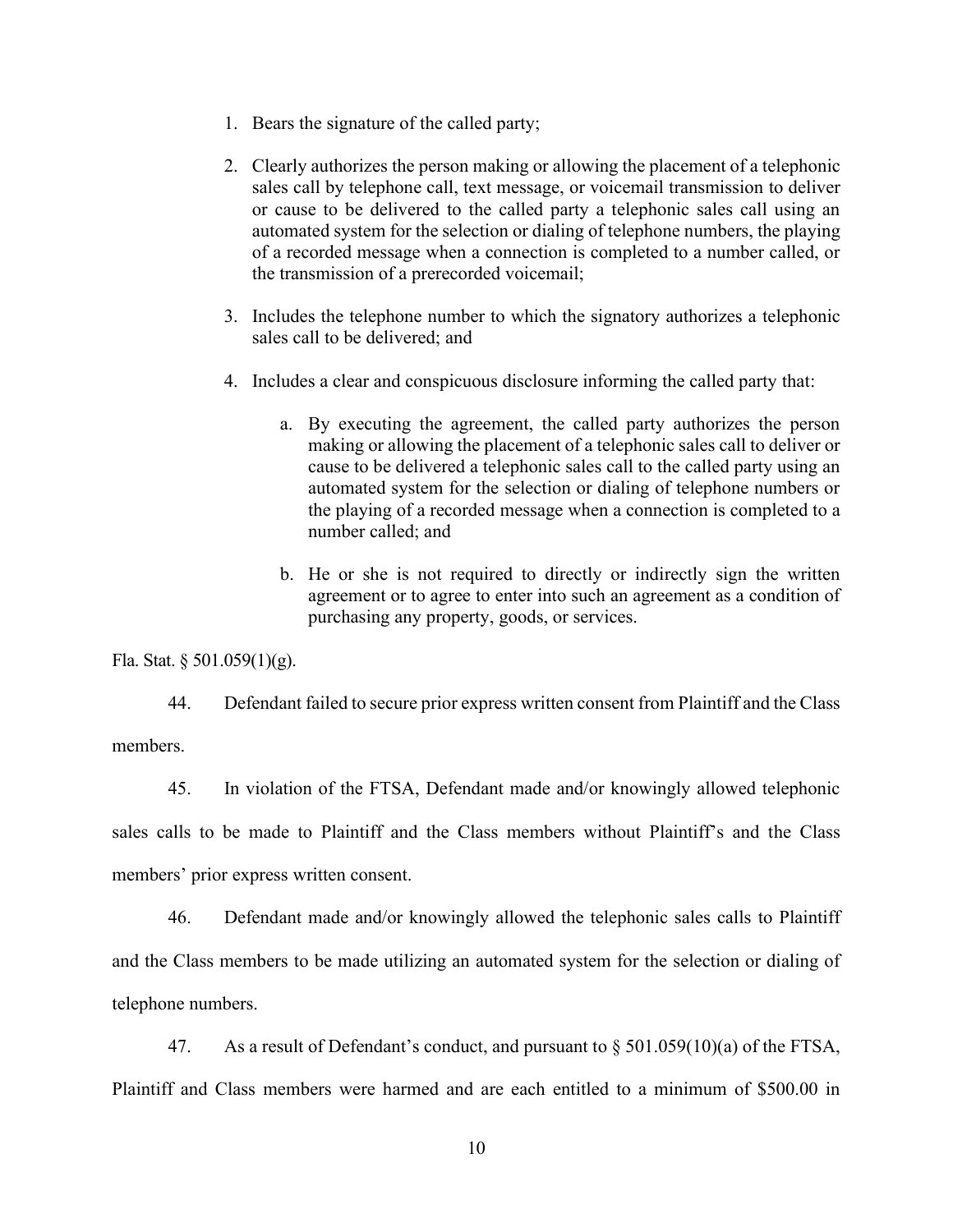- 1. Bears the signature of the called party;
- 2. Clearly authorizes the person making or allowing the placement of a telephonic sales call by telephone call, text message, or voicemail transmission to deliver or cause to be delivered to the called party a telephonic sales call using an automated system for the selection or dialing of telephone numbers, the playing of a recorded message when a connection is completed to a number called, or the transmission of a prerecorded voicemail;
- 3. Includes the telephone number to which the signatory authorizes a telephonic sales call to be delivered; and
- 4. Includes a clear and conspicuous disclosure informing the called party that:
	- a. By executing the agreement, the called party authorizes the person making or allowing the placement of a telephonic sales call to deliver or cause to be delivered a telephonic sales call to the called party using an automated system for the selection or dialing of telephone numbers or the playing of a recorded message when a connection is completed to a number called; and
	- b. He or she is not required to directly or indirectly sign the written agreement or to agree to enter into such an agreement as a condition of purchasing any property, goods, or services.

Fla. Stat. § 501.059(1)(g).

44. Defendant failed to secure prior express written consent from Plaintiff and the Class members.

45. In violation of the FTSA, Defendant made and/or knowingly allowed telephonic sales calls to be made to Plaintiff and the Class members without Plaintiff's and the Class members' prior express written consent.

46. Defendant made and/or knowingly allowed the telephonic sales calls to Plaintiff and the Class members to be made utilizing an automated system for the selection or dialing of telephone numbers.

47. As a result of Defendant's conduct, and pursuant to  $\S 501.059(10)(a)$  of the FTSA, Plaintiff and Class members were harmed and are each entitled to a minimum of \$500.00 in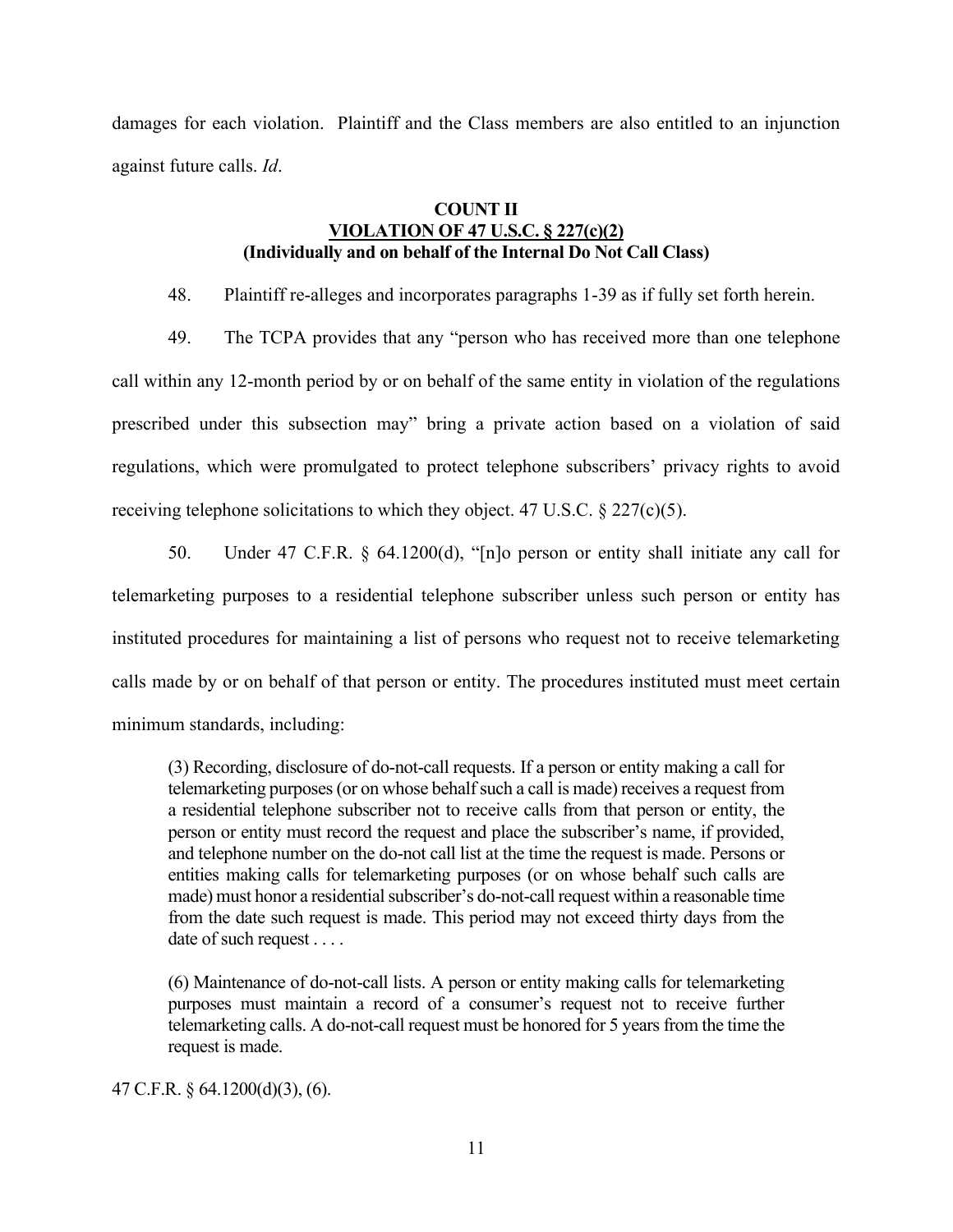damages for each violation. Plaintiff and the Class members are also entitled to an injunction against future calls. *Id*.

# **COUNT II VIOLATION OF 47 U.S.C. § 227(c)(2) (Individually and on behalf of the Internal Do Not Call Class)**

48. Plaintiff re-alleges and incorporates paragraphs 1-39 as if fully set forth herein.

- 49. The TCPA provides that any "person who has received more than one telephone call within any 12-month period by or on behalf of the same entity in violation of the regulations prescribed under this subsection may" bring a private action based on a violation of said regulations, which were promulgated to protect telephone subscribers' privacy rights to avoid receiving telephone solicitations to which they object. 47 U.S.C. § 227(c)(5).
- 50. Under 47 C.F.R. § 64.1200(d), "[n]o person or entity shall initiate any call for telemarketing purposes to a residential telephone subscriber unless such person or entity has instituted procedures for maintaining a list of persons who request not to receive telemarketing calls made by or on behalf of that person or entity. The procedures instituted must meet certain minimum standards, including:

(3) Recording, disclosure of do-not-call requests. If a person or entity making a call for telemarketing purposes (or on whose behalf such a call is made) receives a request from a residential telephone subscriber not to receive calls from that person or entity, the person or entity must record the request and place the subscriber's name, if provided, and telephone number on the do-not call list at the time the request is made. Persons or entities making calls for telemarketing purposes (or on whose behalf such calls are made) must honor a residential subscriber's do-not-call request within a reasonable time from the date such request is made. This period may not exceed thirty days from the date of such request . . . .

(6) Maintenance of do-not-call lists. A person or entity making calls for telemarketing purposes must maintain a record of a consumer's request not to receive further telemarketing calls. A do-not-call request must be honored for 5 years from the time the request is made.

47 C.F.R. § 64.1200(d)(3), (6).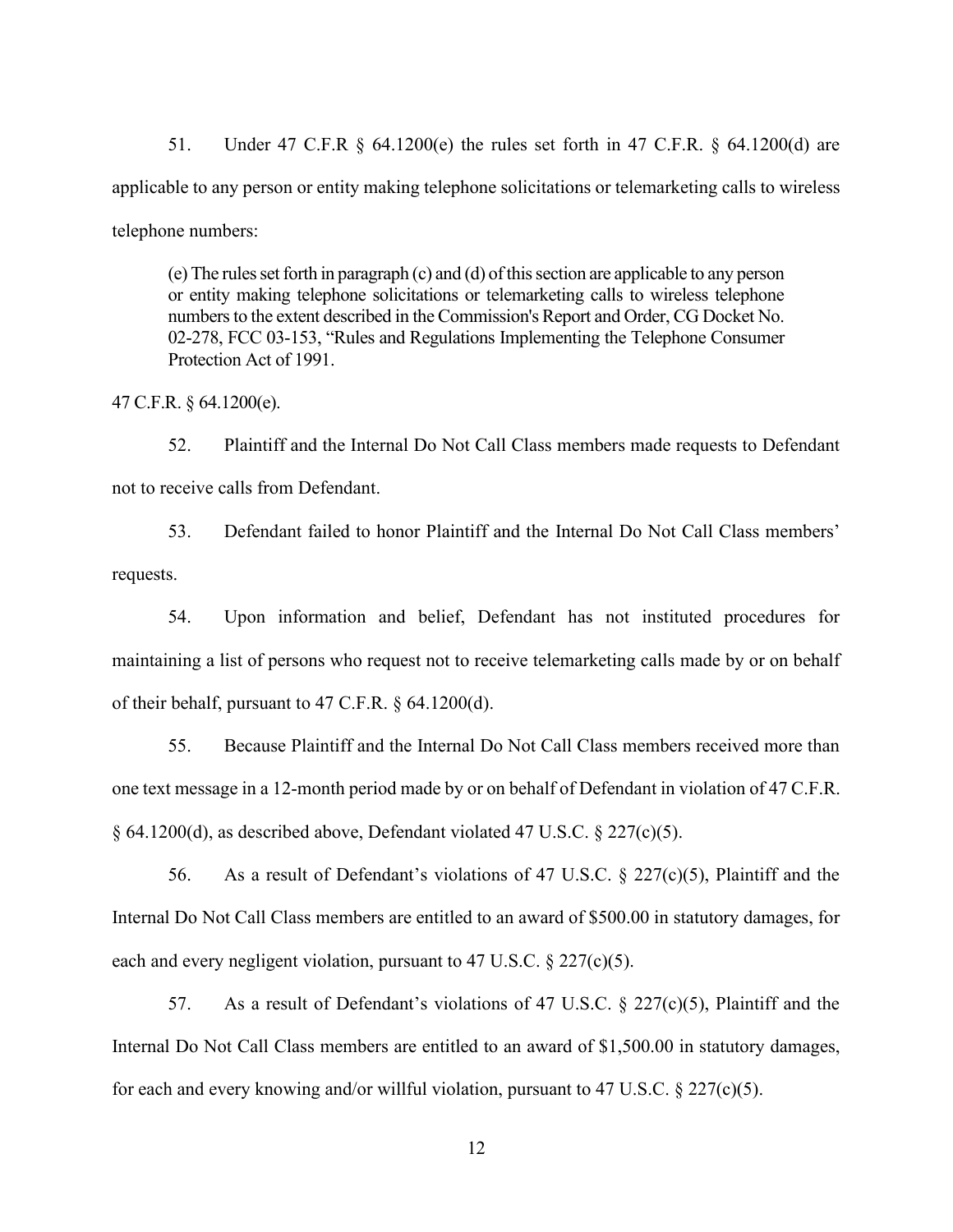51. Under 47 C.F.R § 64.1200(e) the rules set forth in 47 C.F.R. § 64.1200(d) are applicable to any person or entity making telephone solicitations or telemarketing calls to wireless telephone numbers:

(e) The rules set forth in paragraph (c) and (d) of this section are applicable to any person or entity making telephone solicitations or telemarketing calls to wireless telephone numbers to the extent described in the Commission's Report and Order, CG Docket No. 02-278, FCC 03-153, "Rules and Regulations Implementing the Telephone Consumer Protection Act of 1991.

47 C.F.R. § 64.1200(e).

52. Plaintiff and the Internal Do Not Call Class members made requests to Defendant not to receive calls from Defendant.

53. Defendant failed to honor Plaintiff and the Internal Do Not Call Class members' requests.

54. Upon information and belief, Defendant has not instituted procedures for maintaining a list of persons who request not to receive telemarketing calls made by or on behalf of their behalf, pursuant to 47 C.F.R. § 64.1200(d).

55. Because Plaintiff and the Internal Do Not Call Class members received more than one text message in a 12-month period made by or on behalf of Defendant in violation of 47 C.F.R. § 64.1200(d), as described above, Defendant violated 47 U.S.C. § 227(c)(5).

56. As a result of Defendant's violations of 47 U.S.C. § 227(c)(5), Plaintiff and the Internal Do Not Call Class members are entitled to an award of \$500.00 in statutory damages, for each and every negligent violation, pursuant to 47 U.S.C. § 227(c)(5).

57. As a result of Defendant's violations of 47 U.S.C. § 227(c)(5), Plaintiff and the Internal Do Not Call Class members are entitled to an award of \$1,500.00 in statutory damages, for each and every knowing and/or willful violation, pursuant to 47 U.S.C.  $\S 227(c)(5)$ .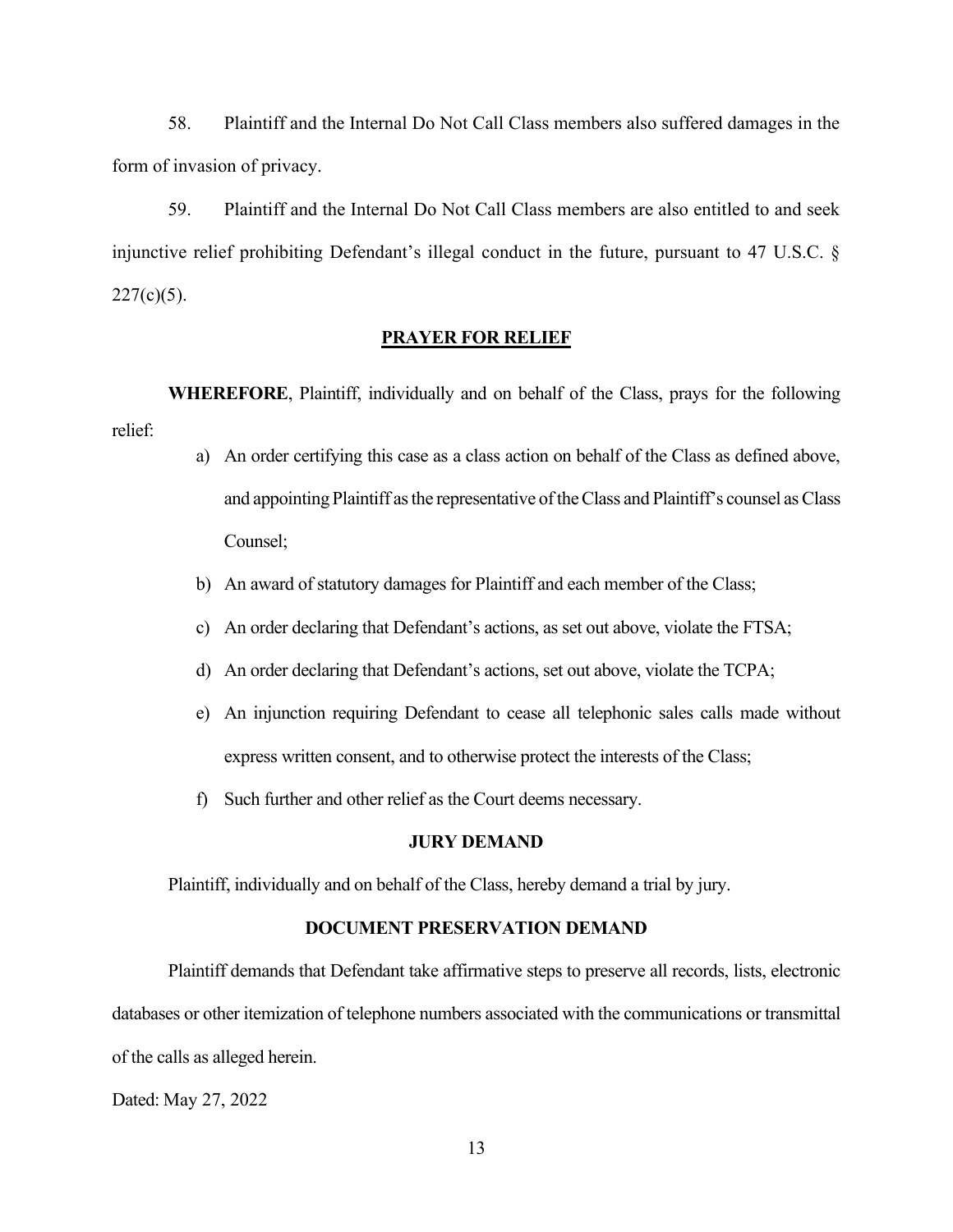58. Plaintiff and the Internal Do Not Call Class members also suffered damages in the form of invasion of privacy.

59. Plaintiff and the Internal Do Not Call Class members are also entitled to and seek injunctive relief prohibiting Defendant's illegal conduct in the future, pursuant to 47 U.S.C. §  $227(c)(5)$ .

# **PRAYER FOR RELIEF**

**WHEREFORE**, Plaintiff, individually and on behalf of the Class, prays for the following relief:

- a) An order certifying this case as a class action on behalf of the Class as defined above, and appointing Plaintiff as the representative of the Class and Plaintiff's counsel as Class Counsel;
- b) An award of statutory damages for Plaintiff and each member of the Class;
- c) An order declaring that Defendant's actions, as set out above, violate the FTSA;
- d) An order declaring that Defendant's actions, set out above, violate the TCPA;
- e) An injunction requiring Defendant to cease all telephonic sales calls made without express written consent, and to otherwise protect the interests of the Class;
- f) Such further and other relief as the Court deems necessary.

### **JURY DEMAND**

Plaintiff, individually and on behalf of the Class, hereby demand a trial by jury.

## **DOCUMENT PRESERVATION DEMAND**

Plaintiff demands that Defendant take affirmative steps to preserve all records, lists, electronic databases or other itemization of telephone numbers associated with the communications or transmittal of the calls as alleged herein.

Dated: May 27, 2022